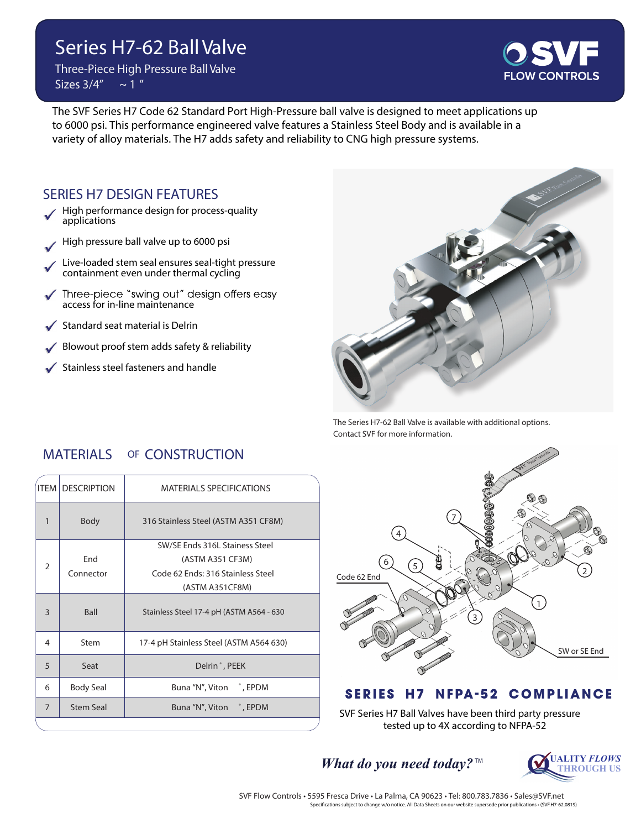# **Series H7-62 Ball Valve**

**Three-Piece High Pressure Ball Valve**  $\frac{\text{Sizes } 3}{4} \sim 1$ 



The SVF Series H7 Code 62 Standard Port High-Pressure ball valve is designed to meet applications up to 6000 psi. This performance engineered valve features a Stainless Steel Body and is available in a variety of alloy materials. The H7 adds safety and reliability to CNG high pressure systems.

#### **SERIES H7 DESIGN FEATURES**

- High performance design for process-quality applications
- High pressure ball valve up to 6000 psi
- Live-loaded stem seal ensures seal-tight pressure containment even under thermal cycling
- Three-piece "swing out" design offers easy<br>access for in-line maintenance
- Standard seat material is Delrin
- Blowout proof stem adds safety & reliability
- Stainless steel fasteners and handle



The Series H7-62 Ball Valve is available with additional options. Contact SVF for more information.

## **MATERIALS OF CONSTRUCTION**

| <b>ITEM</b>    | <b>DESCRIPTION</b> | <b>MATERIALS SPECIFICATIONS</b>          |  |  |  |  |  |  |
|----------------|--------------------|------------------------------------------|--|--|--|--|--|--|
| 1              | <b>Body</b>        | 316 Stainless Steel (ASTM A351 CF8M)     |  |  |  |  |  |  |
|                |                    | SW/SE Ends 316L Stainess Steel           |  |  |  |  |  |  |
| $\mathcal{P}$  | Fnd                | (ASTM A351 CF3M)                         |  |  |  |  |  |  |
|                | Connector          | Code 62 Ends: 316 Stainless Steel        |  |  |  |  |  |  |
|                |                    | (ASTM A351CF8M)                          |  |  |  |  |  |  |
| 3              | <b>Ball</b>        | Stainless Steel 17-4 pH (ASTM A564 - 630 |  |  |  |  |  |  |
| 4              | Stem               | 17-4 pH Stainless Steel (ASTM A564 630)  |  |  |  |  |  |  |
| 5              | Seat               | Delrin <sup>*</sup> , PEEK               |  |  |  |  |  |  |
| 6              | <b>Body Seal</b>   | Buna "N", Viton ", EPDM                  |  |  |  |  |  |  |
| $\overline{7}$ | <b>Stem Seal</b>   | Buna "N", Viton ", EPDM                  |  |  |  |  |  |  |
|                |                    |                                          |  |  |  |  |  |  |



#### **SERIES H7 NFPA-52 COMPLIANCE**

SVF Series H7 Ball Valves have been third party pressure tested up to 4X according to NFPA-52

*What do you need today?*  $M_{\text{THEOREM IS}}$ 

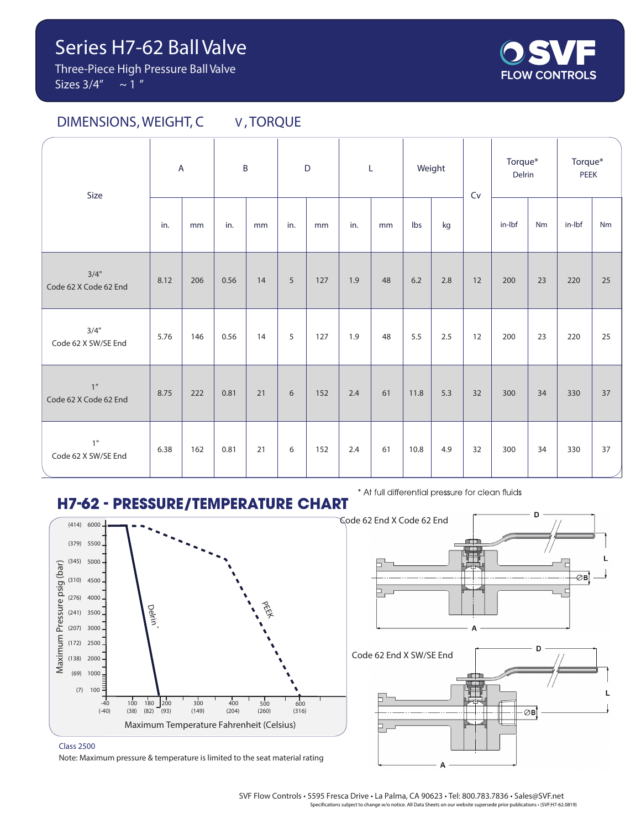**Three-Piece High Pressure Ball Valve Sizes 3/4" ~ 1 "**



### **DIMENSIONS, WEIGHT, C V , TORQUE**

| Size                           | $\overline{A}$ |     | $\sf{B}$ |    | D   |     | L   |    | Weight |     | Cv | Torque*<br>Delrin |    | Torque*<br>PEEK |    |
|--------------------------------|----------------|-----|----------|----|-----|-----|-----|----|--------|-----|----|-------------------|----|-----------------|----|
|                                | in.            | mm  | in.      | mm | in. | mm  | in. | mm | Ibs    | kg  |    | in-Ibf            | Nm | in-Ibf          | Nm |
| 3/4"<br>Code 62 X Code 62 End  | 8.12           | 206 | 0.56     | 14 | 5   | 127 | 1.9 | 48 | 6.2    | 2.8 | 12 | 200               | 23 | 220             | 25 |
| 3/4''<br>Code 62 X SW/SE End   | 5.76           | 146 | 0.56     | 14 | 5   | 127 | 1.9 | 48 | 5.5    | 2.5 | 12 | 200               | 23 | 220             | 25 |
| $1''$<br>Code 62 X Code 62 End | 8.75           | 222 | 0.81     | 21 | 6   | 152 | 2.4 | 61 | 11.8   | 5.3 | 32 | 300               | 34 | 330             | 37 |
| 1"<br>Code 62 X SW/SE End      | 6.38           | 162 | 0.81     | 21 | 6   | 152 | 2.4 | 61 | 10.8   | 4.9 | 32 | 300               | 34 | 330             | 37 |

## **H7-62 - PRESSURE/TEMPERATURE CHART**



\* At full differential pressure for clean fluids



⊘ві

**Class 2500**

Note: Maximum pressure & temperature is limited to the seat material rating